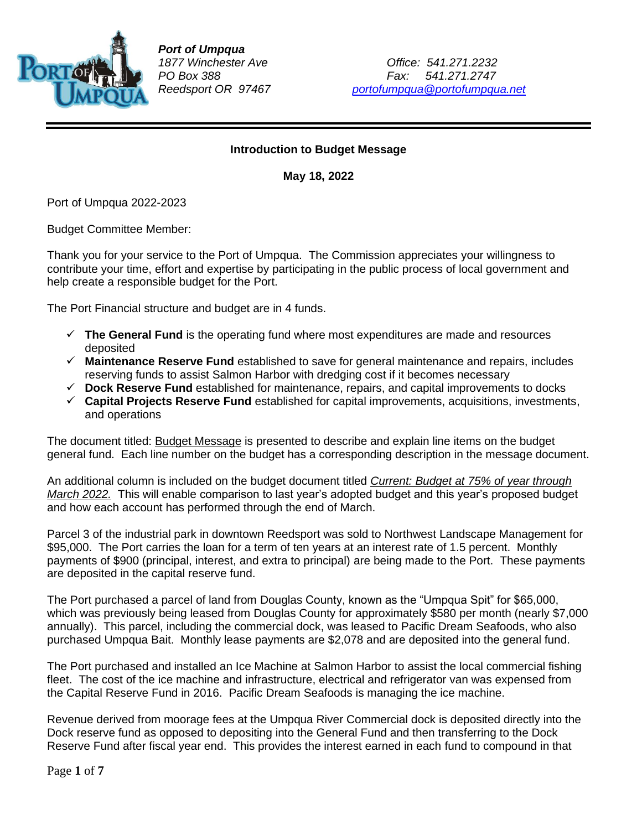

*Port of Umpqua*

*1877 Winchester Ave Office: 541.271.2232 PO Box 388 Fax: 541.271.2747 Reedsport OR 97467 [portofumpqua@portofumpqua.net](mailto:portofumpqua@portofumpqua.net)*

#### **Introduction to Budget Message**

**May 18, 2022**

Port of Umpqua 2022-2023

Budget Committee Member:

Thank you for your service to the Port of Umpqua. The Commission appreciates your willingness to contribute your time, effort and expertise by participating in the public process of local government and help create a responsible budget for the Port.

The Port Financial structure and budget are in 4 funds.

- ✓ **The General Fund** is the operating fund where most expenditures are made and resources deposited
- ✓ **Maintenance Reserve Fund** established to save for general maintenance and repairs, includes reserving funds to assist Salmon Harbor with dredging cost if it becomes necessary
- ✓ **Dock Reserve Fund** established for maintenance, repairs, and capital improvements to docks
- ✓ **Capital Projects Reserve Fund** established for capital improvements, acquisitions, investments, and operations

The document titled: Budget Message is presented to describe and explain line items on the budget general fund. Each line number on the budget has a corresponding description in the message document.

An additional column is included on the budget document titled *Current: Budget at 75% of year through March 2022.* This will enable comparison to last year's adopted budget and this year's proposed budget and how each account has performed through the end of March.

Parcel 3 of the industrial park in downtown Reedsport was sold to Northwest Landscape Management for \$95,000. The Port carries the loan for a term of ten years at an interest rate of 1.5 percent. Monthly payments of \$900 (principal, interest, and extra to principal) are being made to the Port. These payments are deposited in the capital reserve fund.

The Port purchased a parcel of land from Douglas County, known as the "Umpqua Spit" for \$65,000, which was previously being leased from Douglas County for approximately \$580 per month (nearly \$7,000 annually). This parcel, including the commercial dock, was leased to Pacific Dream Seafoods, who also purchased Umpqua Bait. Monthly lease payments are \$2,078 and are deposited into the general fund.

The Port purchased and installed an Ice Machine at Salmon Harbor to assist the local commercial fishing fleet. The cost of the ice machine and infrastructure, electrical and refrigerator van was expensed from the Capital Reserve Fund in 2016. Pacific Dream Seafoods is managing the ice machine.

Revenue derived from moorage fees at the Umpqua River Commercial dock is deposited directly into the Dock reserve fund as opposed to depositing into the General Fund and then transferring to the Dock Reserve Fund after fiscal year end. This provides the interest earned in each fund to compound in that

Page **1** of **7**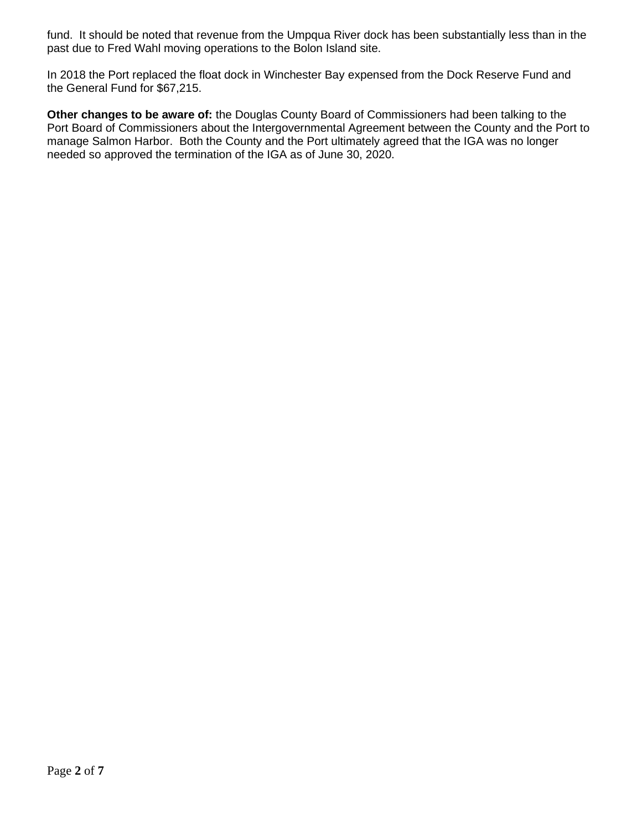fund. It should be noted that revenue from the Umpqua River dock has been substantially less than in the past due to Fred Wahl moving operations to the Bolon Island site.

In 2018 the Port replaced the float dock in Winchester Bay expensed from the Dock Reserve Fund and the General Fund for \$67,215.

**Other changes to be aware of:** the Douglas County Board of Commissioners had been talking to the Port Board of Commissioners about the Intergovernmental Agreement between the County and the Port to manage Salmon Harbor. Both the County and the Port ultimately agreed that the IGA was no longer needed so approved the termination of the IGA as of June 30, 2020.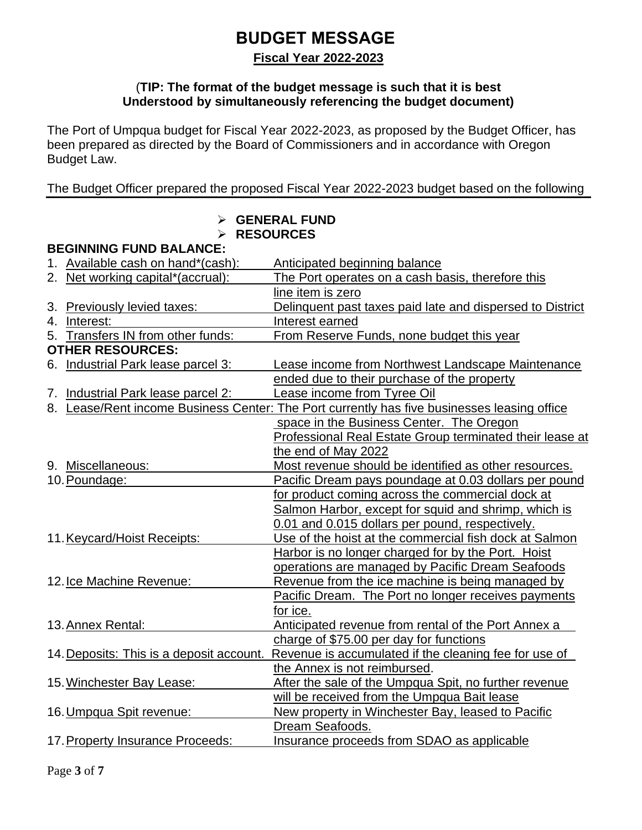# **BUDGET MESSAGE**

**Fiscal Year 2022-2023**

#### (**TIP: The format of the budget message is such that it is best Understood by simultaneously referencing the budget document)**

The Port of Umpqua budget for Fiscal Year 2022-2023, as proposed by the Budget Officer, has been prepared as directed by the Board of Commissioners and in accordance with Oregon Budget Law.

The Budget Officer prepared the proposed Fiscal Year 2022-2023 budget based on the following

|                                          | <b>GENERAL FUND</b><br><b>RESOURCES</b>                                                     |
|------------------------------------------|---------------------------------------------------------------------------------------------|
| <b>BEGINNING FUND BALANCE:</b>           |                                                                                             |
| 1. Available cash on hand*(cash):        | Anticipated beginning balance                                                               |
| 2. Net working capital*(accrual):        | The Port operates on a cash basis, therefore this                                           |
|                                          | line item is zero                                                                           |
| 3. Previously levied taxes:              | Delinquent past taxes paid late and dispersed to District                                   |
| 4. Interest:                             | Interest earned                                                                             |
| 5. Transfers IN from other funds:        | From Reserve Funds, none budget this year                                                   |
| <b>OTHER RESOURCES:</b>                  |                                                                                             |
| 6. Industrial Park lease parcel 3:       | Lease income from Northwest Landscape Maintenance                                           |
|                                          | ended due to their purchase of the property                                                 |
| 7. Industrial Park lease parcel 2:       | Lease income from Tyree Oil                                                                 |
|                                          | 8. Lease/Rent income Business Center: The Port currently has five businesses leasing office |
|                                          | space in the Business Center. The Oregon                                                    |
|                                          | Professional Real Estate Group terminated their lease at                                    |
|                                          | the end of May 2022                                                                         |
| 9. Miscellaneous:                        | Most revenue should be identified as other resources.                                       |
| 10. Poundage:                            | Pacific Dream pays poundage at 0.03 dollars per pound                                       |
|                                          | for product coming across the commercial dock at                                            |
|                                          | Salmon Harbor, except for squid and shrimp, which is                                        |
|                                          | 0.01 and 0.015 dollars per pound, respectively.                                             |
| 11. Keycard/Hoist Receipts:              | Use of the hoist at the commercial fish dock at Salmon                                      |
|                                          | Harbor is no longer charged for by the Port. Hoist                                          |
|                                          | operations are managed by Pacific Dream Seafoods                                            |
| 12. Ice Machine Revenue:                 | Revenue from the ice machine is being managed by                                            |
|                                          | Pacific Dream. The Port no longer receives payments                                         |
|                                          | for ice.                                                                                    |
| 13. Annex Rental:                        | Anticipated revenue from rental of the Port Annex a                                         |
|                                          | charge of \$75.00 per day for functions                                                     |
| 14. Deposits: This is a deposit account. | Revenue is accumulated if the cleaning fee for use of                                       |
|                                          | the Annex is not reimbursed.                                                                |
| 15. Winchester Bay Lease:                | After the sale of the Umpqua Spit, no further revenue                                       |
|                                          | will be received from the Umpqua Bait lease                                                 |
| 16. Umpqua Spit revenue:                 | New property in Winchester Bay, leased to Pacific                                           |
|                                          | Dream Seafoods.                                                                             |
| 17. Property Insurance Proceeds:         | Insurance proceeds from SDAO as applicable                                                  |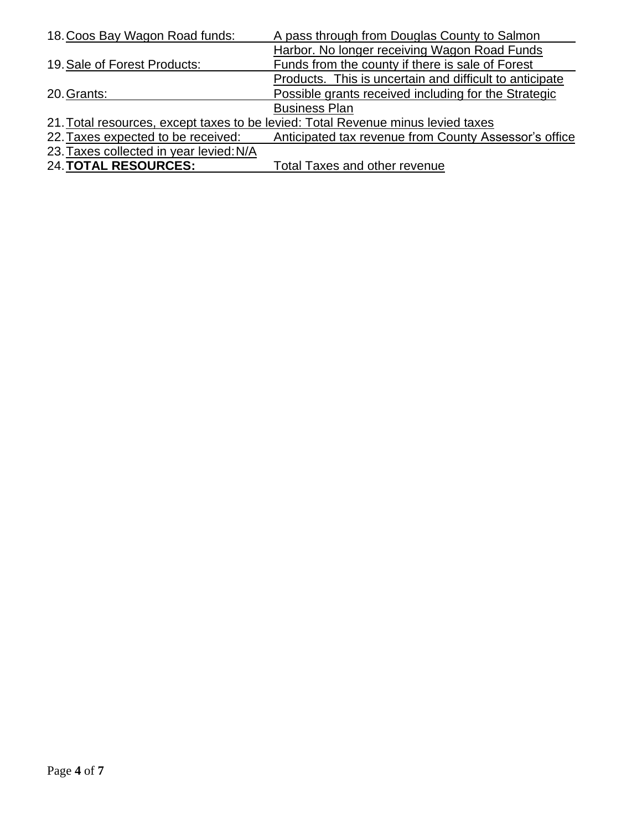| 18. Coos Bay Wagon Road funds:          | A pass through from Douglas County to Salmon                                     |
|-----------------------------------------|----------------------------------------------------------------------------------|
|                                         | Harbor. No longer receiving Wagon Road Funds                                     |
| 19. Sale of Forest Products:            | Funds from the county if there is sale of Forest                                 |
|                                         | Products. This is uncertain and difficult to anticipate                          |
| 20. Grants:                             | Possible grants received including for the Strategic                             |
|                                         | <b>Business Plan</b>                                                             |
|                                         | 21. Total resources, except taxes to be levied: Total Revenue minus levied taxes |
| 22. Taxes expected to be received:      | Anticipated tax revenue from County Assessor's office                            |
| 23. Taxes collected in year levied: N/A |                                                                                  |
| <b>24. TOTAL RESOURCES:</b>             | <b>Total Taxes and other revenue</b>                                             |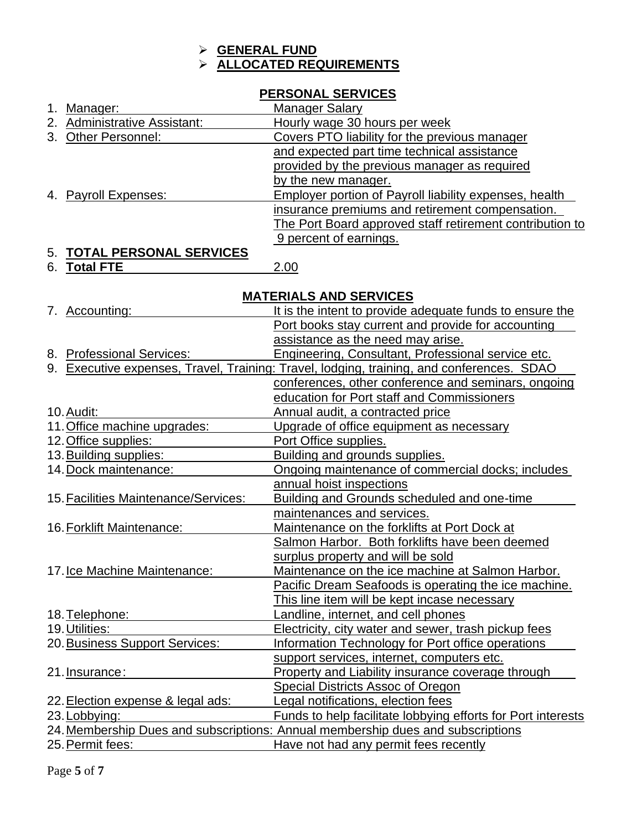### ➢ **GENERAL FUND** ➢ **ALLOCATED REQUIREMENTS**

### **PERSONAL SERVICES**

| Manager:                     | <b>Manager Salary</b>                                         |
|------------------------------|---------------------------------------------------------------|
| 2. Administrative Assistant: | Hourly wage 30 hours per week                                 |
| 3. Other Personnel:          | Covers PTO liability for the previous manager                 |
|                              | and expected part time technical assistance                   |
|                              | provided by the previous manager as required                  |
|                              | by the new manager.                                           |
| 4. Payroll Expenses:         | <b>Employer portion of Payroll liability expenses, health</b> |
|                              | insurance premiums and retirement compensation.               |
|                              | The Port Board approved staff retirement contribution to      |
|                              | 9 percent of earnings.                                        |
| E TOTAL DEDSONAL SEDVICES    |                                                               |

### 5. **TOTAL PERSONAL SERVICES**

6. **Total FTE** 2.00

## **MATERIALS AND SERVICES**

| 7. Accounting:                       | It is the intent to provide adequate funds to ensure the                                  |
|--------------------------------------|-------------------------------------------------------------------------------------------|
|                                      | Port books stay current and provide for accounting                                        |
|                                      | assistance as the need may arise.                                                         |
| 8. Professional Services:            | Engineering, Consultant, Professional service etc.                                        |
|                                      | 9. Executive expenses, Travel, Training: Travel, lodging, training, and conferences. SDAO |
|                                      | conferences, other conference and seminars, ongoing                                       |
|                                      | education for Port staff and Commissioners                                                |
| 10. Audit:                           | Annual audit, a contracted price                                                          |
| 11. Office machine upgrades:         | Upgrade of office equipment as necessary                                                  |
| 12. Office supplies:                 | Port Office supplies.                                                                     |
| 13. Building supplies:               | Building and grounds supplies.                                                            |
| 14. Dock maintenance:                | Ongoing maintenance of commercial docks; includes                                         |
|                                      | annual hoist inspections                                                                  |
| 15. Facilities Maintenance/Services: | <b>Building and Grounds scheduled and one-time</b>                                        |
|                                      | maintenances and services.                                                                |
| 16. Forklift Maintenance:            | Maintenance on the forklifts at Port Dock at                                              |
|                                      | Salmon Harbor. Both forklifts have been deemed                                            |
|                                      | surplus property and will be sold                                                         |
| 17. Ice Machine Maintenance:         | Maintenance on the ice machine at Salmon Harbor.                                          |
|                                      | Pacific Dream Seafoods is operating the ice machine.                                      |
|                                      | This line item will be kept incase necessary                                              |
| 18. Telephone:                       | Landline, internet, and cell phones                                                       |
| 19. Utilities:                       | Electricity, city water and sewer, trash pickup fees                                      |
| 20. Business Support Services:       | Information Technology for Port office operations                                         |
|                                      | support services, internet, computers etc.                                                |
| 21. Insurance:                       | Property and Liability insurance coverage through                                         |
|                                      | Special Districts Assoc of Oregon                                                         |
| 22. Election expense & legal ads:    | Legal notifications, election fees                                                        |
| 23. Lobbying:                        | Funds to help facilitate lobbying efforts for Port interests                              |
|                                      | 24. Membership Dues and subscriptions: Annual membership dues and subscriptions           |
| 25. Permit fees:                     | Have not had any permit fees recently                                                     |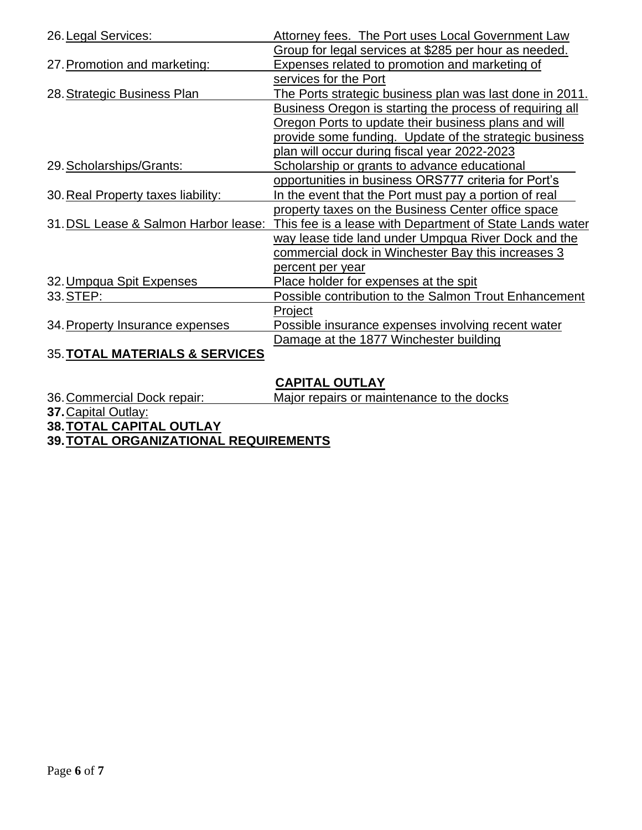| 26. Legal Services:                       | Attorney fees. The Port uses Local Government Law               |
|-------------------------------------------|-----------------------------------------------------------------|
|                                           | Group for legal services at \$285 per hour as needed.           |
| 27. Promotion and marketing:              | Expenses related to promotion and marketing of                  |
|                                           | services for the Port                                           |
| 28. Strategic Business Plan               | <u>The Ports strategic business plan was last done in 2011.</u> |
|                                           | Business Oregon is starting the process of requiring all        |
|                                           | Oregon Ports to update their business plans and will            |
|                                           | provide some funding. Update of the strategic business          |
|                                           | plan will occur during fiscal year 2022-2023                    |
| 29. Scholarships/Grants:                  | Scholarship or grants to advance educational                    |
|                                           | opportunities in business ORS777 criteria for Port's            |
| 30. Real Property taxes liability:        | In the event that the Port must pay a portion of real           |
|                                           | property taxes on the Business Center office space              |
| 31. DSL Lease & Salmon Harbor lease:      | This fee is a lease with Department of State Lands water        |
|                                           | way lease tide land under Umpqua River Dock and the             |
|                                           | commercial dock in Winchester Bay this increases 3              |
|                                           | percent per year                                                |
| 32. Umpqua Spit Expenses                  | Place holder for expenses at the spit                           |
| 33. STEP:                                 | <b>Possible contribution to the Salmon Trout Enhancement</b>    |
|                                           | Project                                                         |
| 34. Property Insurance expenses           | Possible insurance expenses involving recent water              |
|                                           | Damage at the 1877 Winchester building                          |
| <b>35. TOTAL MATERIALS &amp; SERVICES</b> |                                                                 |

## **CAPITAL OUTLAY**

36.Commercial Dock repair: Major repairs or maintenance to the docks

**37.**Capital Outlay:

**38.TOTAL CAPITAL OUTLAY**

**39.TOTAL ORGANIZATIONAL REQUIREMENTS**